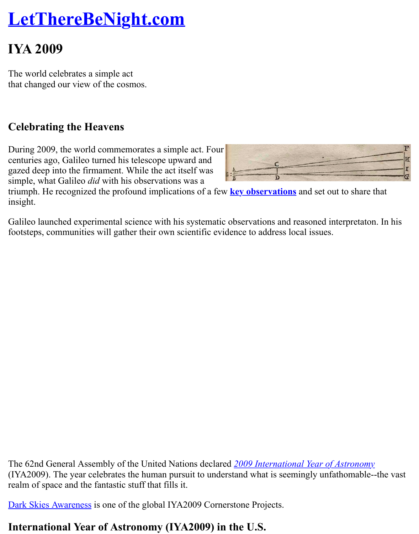The world celebrates a simple act [that changed our view of the cosmos.](http://www.lettherebenight.com/index.html)

## **Celebrating the Heavens**

During 2009, the world commemorates a simple act. Four centuries ago, Galileo turned his telescope upward and gazed deep into the firmament. While the act itself was simple, what Galileo *did* with his observations was a



triumph. He recognized the profound implications of a few **key observations** and set out to sh insight.

Galileo launched experimental science with his systematic observations and reasoned interpretation. footsteps, communities will gather their own scientific evidence to address local issues.

The 62nd General Assembly of the United Nations declared **2009** International Year of Astron (IYA2009). The year celebrates the human pursuit to understand what is seemingly unfathom realm of space and the fantastic stuff that fills it.

Dark Skies Awareness is one of the global IYA2009 Cornerstone Projects.

## **International Year of Astronomy (IYA2009) in t[he U.S.](http://www.astronomy2009.org/content/view/344/46/)**